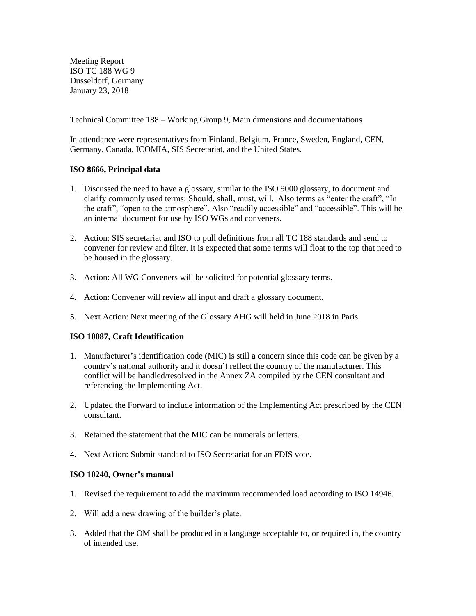Meeting Report ISO TC 188 WG 9 Dusseldorf, Germany January 23, 2018

Technical Committee 188 – Working Group 9, Main dimensions and documentations

In attendance were representatives from Finland, Belgium, France, Sweden, England, CEN, Germany, Canada, ICOMIA, SIS Secretariat, and the United States.

# **ISO 8666, Principal data**

- 1. Discussed the need to have a glossary, similar to the ISO 9000 glossary, to document and clarify commonly used terms: Should, shall, must, will. Also terms as "enter the craft", "In the craft", "open to the atmosphere". Also "readily accessible" and "accessible". This will be an internal document for use by ISO WGs and conveners.
- 2. Action: SIS secretariat and ISO to pull definitions from all TC 188 standards and send to convener for review and filter. It is expected that some terms will float to the top that need to be housed in the glossary.
- 3. Action: All WG Conveners will be solicited for potential glossary terms.
- 4. Action: Convener will review all input and draft a glossary document.
- 5. Next Action: Next meeting of the Glossary AHG will held in June 2018 in Paris.

## **ISO 10087, Craft Identification**

- 1. Manufacturer's identification code (MIC) is still a concern since this code can be given by a country's national authority and it doesn't reflect the country of the manufacturer. This conflict will be handled/resolved in the Annex ZA compiled by the CEN consultant and referencing the Implementing Act.
- 2. Updated the Forward to include information of the Implementing Act prescribed by the CEN consultant.
- 3. Retained the statement that the MIC can be numerals or letters.
- 4. Next Action: Submit standard to ISO Secretariat for an FDIS vote.

## **ISO 10240, Owner's manual**

- 1. Revised the requirement to add the maximum recommended load according to ISO 14946.
- 2. Will add a new drawing of the builder's plate.
- 3. Added that the OM shall be produced in a language acceptable to, or required in, the country of intended use.